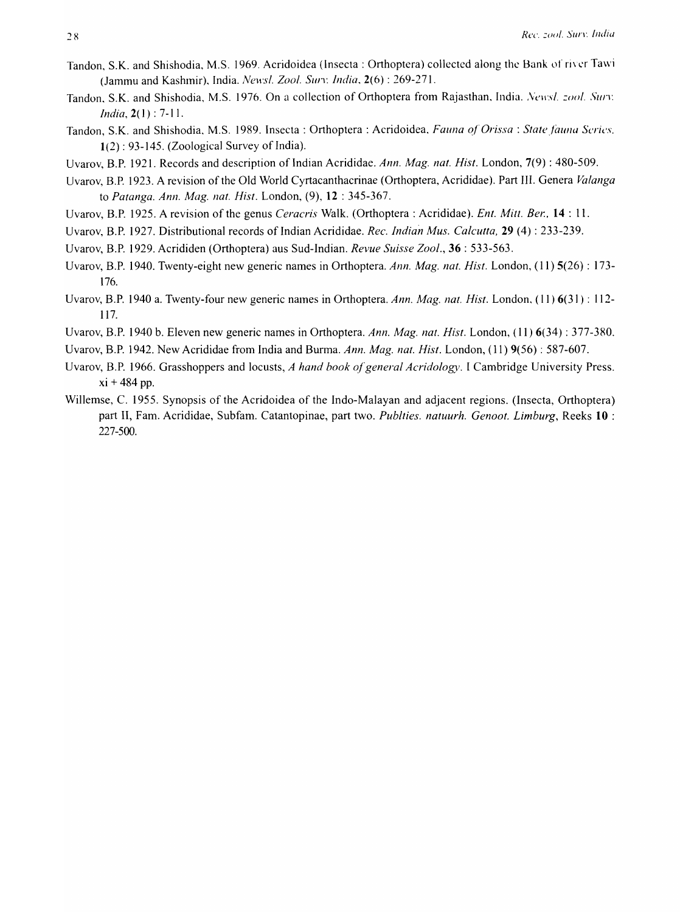- Tandon, S.K. and Shishodia, M.S. 1969. Acridoidea (Insecta: Orthoptera) collected along the Bank of river Tawi (Jammu and Kashmir), India. *Nel1's/. Zoo/.* Sun: *India,* 2(6) : 269-271.
- Tandon. S.K. and Shishodia, M.S. 1976. On a collection of Orthoptera from Rajasthan, India . *. Vt!lI'sl. :oo/. Sun: India,* 2(1) : 7-11.
- Tandon, S.K. and Shishodia, M.S. 1989. Insecta: Orthoptera: Acridoidea, *Fauna of Orissa: State fauna Series*, 1(2): 93-145. (Zoological Survey of India).
- Uvarov, B.P. 1921. Records and description of Indian Acrididae. *Ann. Mag. nat. Hist.* London, 7(9) : 480-509.
- Uvarov, B.P. 1923. A revision of the Old World Cyrtacanthacrinae (Orthoptera, Acrididae). Part III. Genera *Valanga*  to *Patanga. Ann. Mag. nat. Hist.* London, (9), 12 : 345-367.
- Uvarov, B.P. 1925. A revision of the genus *Ceracris* Walk. (Orthoptera : Acrididae). *Ent. Mitt. Ber.,* 14 : 11.
- Uvarov, B.P. 1927. Distributional records of Indian Acrididae. *Rec. Indian Mus. Calcutta*, **29** (4): 233-239.
- Uvarov, B.P. 1929. Acrididen (Orthoptera) aus Sud-Indian. *Revue Suisse Zool.,* 36 : 533-563.
- Uvarov, B.P. 1940. Twenty-eight new generic names in Orthoptera. *Ann. Mag. nat. Hist.* London, (11) 5(26) : 173- 176.
- Uvarov, B.P. 1940 a. Twenty-four new generic names in Orthoptera. *Ann. Mag. nat. Hist.* London, ( II) 6(31 ) : 112- 117.
- Uvarov, B.P. 1940 b. Eleven new generic names in Orthoptera. *Ann. Mag. nat. Hist.* London, (11) 6(34) : 377-380.
- Uvarov, B.P. 1942. New Acrididae from India and Bunna. *Ann. Mag. nat. Hist.* London, (11) 9(56) : 587-607.
- Uvarov, B.P. 1966. Grasshoppers and locusts, *A hand book of general Acridology.* I Cambridge University Press.  $xi + 484$  pp.
- Willemse, C. 1955. Synopsis of the Acridoidea of the Indo-Malayan and adjacent regions. (Insecta, Orthoptera) part II, Fam. Acrididae, Subfam. Catantopinae, part two. *Publties. natuurh. Genoot. Limburg,* Reeks 10 : 227-500.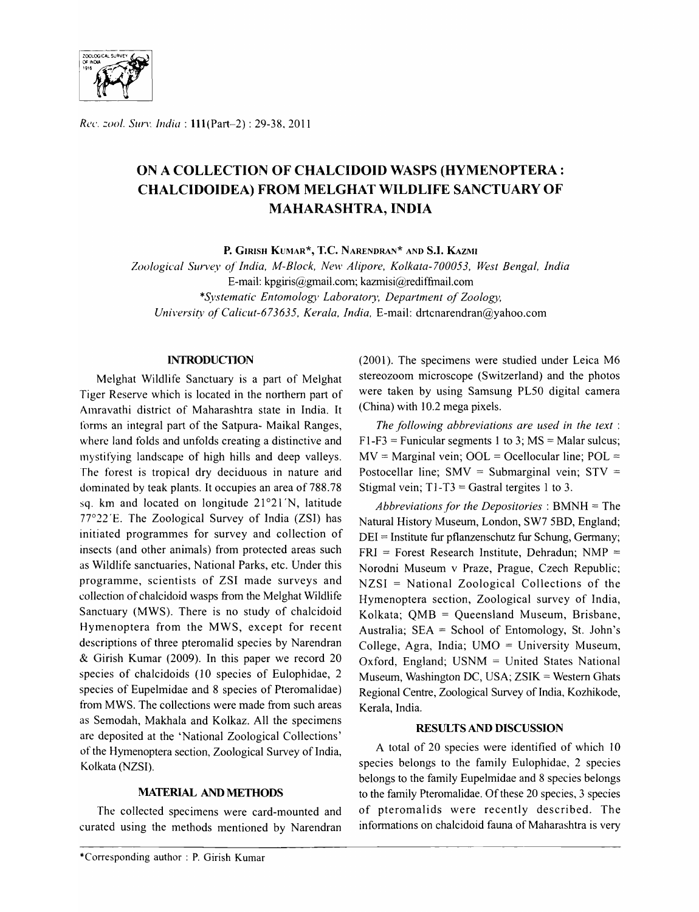

*Re('. :001.* Sun'. *India:* 111(Part-2) : 29-38,2011

# ON A COLLECTION OF CHALCIDOID WASPS (HYMENOPTERA : CHALCIDOIDEA) FROM MELGHAT WILDLIFE SANCTUARY OF MAHARASHTRA, INDIA

P. GIRISH KUMAR\*, T.C. NARENDRAN\* AND S.I. KAZMI

Zoological Survey of India, M-Block, New Alipore, Kolkata-700053, West Bengal, India E-mail: kpgiris@gmail.com;kazmisi@rediffmail.com *\*Systematic Entomology Laboratory, Department of Zoology, Universi(v of Calicut-67* 3635, *Kerala, India,* E-mail: drtcnarendran@yahoo.com

#### **INTRODUCTION**

Melghat Wildlife Sanctuary is a part of Melghat Tiger Reserve which is located in the northern part of Amravathi district of Maharashtra state in India. It forms an integral part of the Satpura- Maikal Ranges, where land folds and unfolds creating a distinctive and mystifying landscape of high hills and deep valleys. The forest is tropical dry deciduous in nature and dominated by teak plants. It occupies an area of 788.78 sq. km and located on longitude  $21°21'N$ , latitude 77°22' E. The Zoological Survey of India (ZSI) has initiated programmes for survey and collection of insects (and other animals) from protected areas such as Wildlife sanctuaries, National Parks, etc. Under this programme, scientists of ZSI made surveys and collection of chalcidoid wasps from the Melghat Wildlife Sanctuary (MWS). There is no study of chalcidoid Hymenoptera from the MWS, except for recent descriptions of three pteromalid species by Narendran & Girish Kumar (2009). In this paper we record 20 species of chalcidoids (l0 species of Eulophidae, 2 species of Eupelmidae and 8 species of Pteromalidae) from MWS. The collections were made from such areas as Semodah, Makhala and Kolkaz. All the specimens are deposited at the 'National Zoological Collections' of the Hymenoptera section, Zoological Survey of India, Kolkata (NZSI).

#### MATERIAL AND METHODS

The collected specimens were card-mounted and curated using the methods mentioned by Narendran (2001). The specimens were studied under Leica M6 stereozoom microscope (Switzerland) and the photos were taken by using Samsung PL50 digital camera (China) with 10.2 mega pixels.

*The following abbreviations are used in the text* :  $F1-F3$  = Funicular segments 1 to 3; MS = Malar sulcus;  $MV = Marginal vein$ ;  $OOL = Ocellocular line$ ;  $POL =$ Postocellar line; SMV = Submarginal vein; STV = Stigmal vein;  $T1-T3 =$  Gastral tergites 1 to 3.

*Abbreviations for the Depositories:* BMNH = The Natural History Museum, London, SW7 5BD, England; DEI = Institute fur pflanzenschutz fur Schung, Germany;  $FRI$  = Forest Research Institute, Dehradun; NMP = Norodni Museum v Praze, Prague, Czech Republic; NZSI = National Zoological Collections of the Hymenoptera section, Zoological survey of India, Kolkata; QMB = Queensland Museum, Brisbane, Australia;  $SEA = School of Entomology, St. John's$ College, Agra, India; UMO = University Museum, Oxford, England; USNM = United States National Museum, Washington DC, USA;  $ZSIK =$  Western Ghats Regional Centre, Zoological Survey of India, Kozhikode, Kerala, India.

#### RESULTS AND DISCUSSION

A total of 20 species were identified of which 10 species belongs to the family Eulophidae, 2 species belongs to the family Eupelmidae and 8 species belongs to the family Pteromalidae. Of these 20 species, 3 species of pteromalids were recently described. The informations on chalcidoid fauna of Maharashtra is very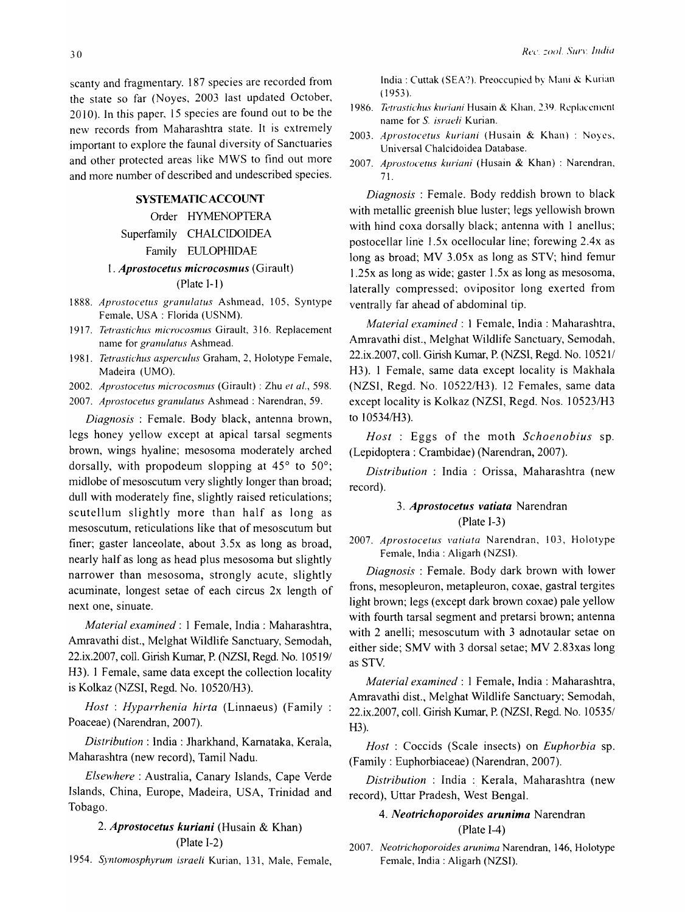scanty and fragmentary. 187 species are recorded from the state so far (Noyes, 2003 last updated October, 2010). In this paper, IS species are found out to be the new records from Maharashtra state. It is extremely important to explore the faunal diversity of Sanctuaries and other protected areas like MWS to find out more and more number of described and undescribed species.

### SYSTEMATIC ACCOUNT

Order HYMENOPTERA Superfamily CHALCIDOIDEA Family EULOPHIDAE

### *1. Aprostocetus microcosm us* (Girault)

### (Plate 1-1)

- 1888. *Aprostocetus granulatus* Ashmead, 105, Syntype Female, USA: Florida (USNM).
- 1917. *Tetrastichus microcosmus* Girault, 316. Replacement name for *granulatus* Ashmead.
- 1981. *Tetrastichus asperculus Graham, 2, Holotype Female,* Madeira (UMO).

2002. *Aprostocetus microcosmlls* (Girault) : Zhu *et al.,* 598.

2007. *Aprostocetus granulatus* Ashmead: Narendran, 59.

*Diagnosis* : Female. Body black, antenna brown, legs honey yellow except at apical tarsal segments brown, wings hyaline; mesosoma moderately arched dorsally, with propodeum slopping at *4So* to *Soo;*  midlobe of mesoscutum very slightly longer than broad; dull with moderately fine, slightly raised reticulations; scutellum slightly more than half as long as mesoscutum, reticulations like that of mesoscutum but finer; gaster lanceolate, about 3.Sx as long as broad, nearly half as long as head plus mesosoma but slightly narrower than mesosoma, strongly acute, slightly acuminate, longest setae of each circus 2x length of next one, sinuate.

*Material examined:* 1 Female, India: Maharashtra, Amravathi dist., Melghat Wildlife Sanctuary, Semodah, 22.ix.2007, colI. Girish Kumar, P. (NZSI, Regd. No. 10S191 H3). 1 Female, same data except the collection locality is Kolkaz (NZSI, Regd. No. 10520/H3).

*Host: Hyparrhenia hirta* (Linnaeus) (Family : Poaceae) (Narendran, 2007).

*Distribution:* India: lharkhand, Kamataka, Kerala, Maharashtra (new record), Tamil Nadu.

*Elsewhere:* Australia, Canary Islands, Cape Verde Islands, China, Europe, Madeira, USA, Trinidad and Tobago.

# *2. Aprostocetus kuriani* (Husain & Khan) (Plate 1-2)

1954. *Syntomosphyrum israeli* Kurian, 131, Male, Female,

India: Cuttak (SEA?). Preoccupied by Mani & Kurian (1953).

- 1986. *Tetrastichus kuriani* Husain & Khan, 239. Replacement name for S. *israeli* Kurian.
- 2003. *Aprostocetlls kllriani* (Husain & Khan) : Noyes, Universal Chalcidoidea Database.
- 2007. *Aprostocetus kuriani* (Husain & Khan) : Narendran, 71.

*Diagnosis:* Female. Body reddish brown to black with metallic greenish blue luster; legs yellowish brown with hind coxa dorsally black; antenna with 1 anellus; postocellar line 1.5x ocellocular line; forewing 2.4x as long as broad; MV 3.0Sx as long as STY; hind femur 1.2Sx as long as wide; gaster 1.5x as long as mesosoma, laterally compressed; ovipositor long exerted from ventrally far ahead of abdominal tip.

*Material examined:* 1 Female, India: Maharashtra, Amravathi dist., Melghat Wildlife Sanctuary, Semodah, 22.ix.2007, coll. Girish Kumar, P. (NZSI, Regd. No. 10521/ H3). 1 Female, same data except locality is Makhala (NZSI, Regd. No. 10S22/H3). 12 Females, same data except locality is Kolkaz (NZSI, Regd. Nos. 10523/H3 to 10534/H3).

*Host* : Eggs of the moth *Schoenobius* sp. (Lepidoptera: Crambidae) (Narendran, 2007).

*Distribution* : India : Orissa, Maharashtra (new record).

# 3. *Aprostocetus vatiata* Narendran (Plate 1-3)

2007. *Aprostocetus vatiata* Narendran, 103, Holotype Female, India: Aligarh (NZSI).

*Diagnosis* : Female. Body dark brown with lower frons, mesopleuron, metapleuron, coxae, gastral tergites light brown; legs (except dark brown coxae) pale yellow with fourth tarsal segment and pretarsi brown; antenna with 2 anelli; mesoscutum with 3 adnotaular setae on either side; SMV with 3 dorsal setae; MV 2.83xas long as STY.

*Material examined:* 1 Female, India: Maharashtra, Amravathi dist., Melghat Wildlife Sanctuary; Semodah, 22.ix.2007, coll. Girish Kumar, P. (NZSI, Regd. No. 10535/ H3).

*Host* : Coccids (Scale insects) on *Euphorbia* sp. (Family: Euphorbiaceae) (Narendran, 2007).

*Distribution* : India : Kerala, Maharashtra (new record), Uttar Pradesh, West Bengal.

# *4. Neotrichoporoides arunima* Narendran (Plate 1-4)

2007. *Neotrichoporoides arunima* Narendran, 146, Holotype Female, India: Aligarh (NZSI).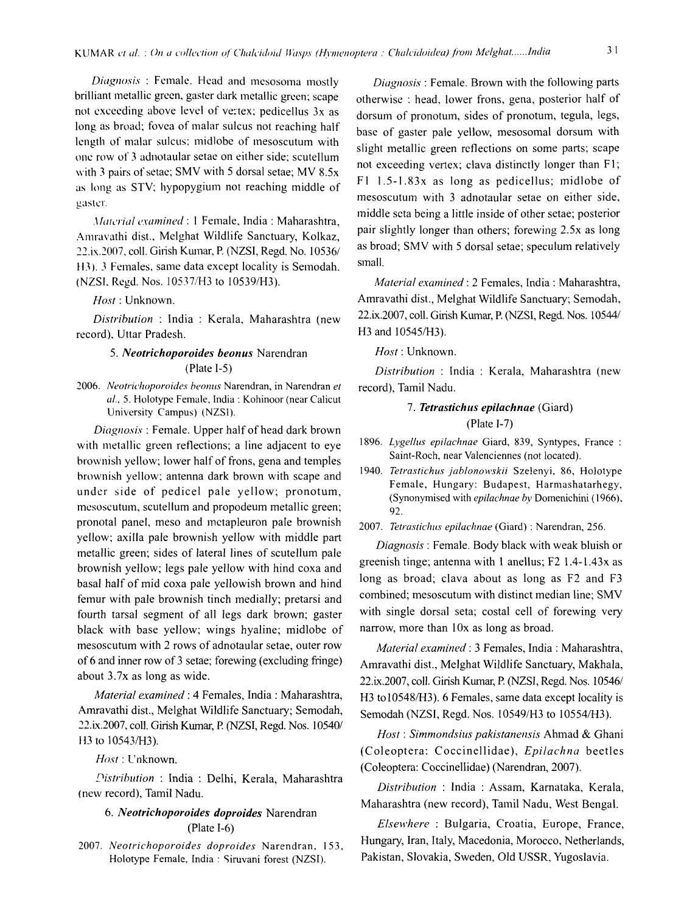*Diagnosis*: Female. Head and mesosoma mostly brilliant metallic green, gaster dark metallic green; scape not exceeding above level of vertex; pedicellus  $3x$  as long as broad; fovea of malar sulcus not reaching half length of malar sulcus: midlobe of mesoscutum with one row of 3 adnotaular setae on either side; scutellum with 3 pairs of setae; SMV with 5 dorsal setae; MV  $8.5x$ as long as STY; hypopygium not reaching middle of gaster.

*,\foll'l'ial examined:* 1 Female, India: Maharashtra, Amravathi dist., Melghat Wildlife Sanctuary, Kolkaz, 22.ix.2007, coll. Girish Kumar, P. (NZSI, Regd. No. 10536/ H3). J Females, same data except locality is Semodah. (NZSL Regd. Nos. I05371H3 to l0539/H3).

*Host:* Unknown.

*Distribution* : India : Kerala, Maharashtra (new record), Uttar Pradesh.

#### *5. Neotrichoporoides beonus* Narendran (Plate 1-5)

*2006. Neotrichoporoides heonlls* Narendran, in Narendran *et al..* 5. Holotype Female, India: Kohinoor (near Calicut University Campus) (NZSI).

*Diagnosis:* Female. Upper half of head dark brown with metallic green reflections; a line adjacent to eye brownish yellow; lower half of frons, gena and temples brownish yellow: antenna dark brown with scape and under side of pedicel pale yellow; pronotum, mesoscutum, scutellum and propodeum metallic green; pronotal panel, meso and metapleuron pale brownish yellow; axilla pale brownish yellow with middle part metallic green; sides of lateral lines of scutellum pale brownish yellow; legs pale yellow with hind coxa and basal half of mid coxa pale yellowish brown and hind femur with pale brownish tinch medially; pretarsi and fourth tarsal segment of all legs dark brown; gaster black with base yellow; wings hyaline; midlobe of mesoscutum with 2 rows of adnotaular setae, outer row of 6 and inner row of 3 setae; forewing ( excluding fringe) about 3.7x as long as wide.

*Material examined:* 4 Females, India: Maharashtra, Amravathi dist., Melghat Wildlife Sanctuary; Semodah, 22.ix.2007, colI. Girish Kwnar, P. (NZSI, Regd. Nos. 105401 H3 to 10543/H3).

#### Host: Unknown.

*Distribution : India : Delhi, Kerala, Maharashtra* (new record), Tamil Nadu.

### *6. Neotrichoporoides doproides* Narendran (plate 1-6)

*2007. Neotrichoporoides doproides* Narendran, 153, Holotype Female, India: Siruvani forest (NZSI).

*Diagnosis:* Female. Brown with the following parts otherwise: head, lower frons, gena, posterior half of dorsum of pronotum, sides of pronotum, tegula, legs, base of gaster pale yellow, mesosomal dorsum with slight metallic green reflections on some parts; scape not exceeding vertex; clava distinctly longer than F1; F] 1.5-1.83x as long as pedicellus; midlobe of mesoscutum with 3 adnotaular setae on either side, middle seta being a little inside of other setae; posterior pair slightly longer than others; forewing 2.5x as long as broad; SMY with 5 dorsal setae; speculum relatively small.

*Material examined:* 2 Females, India: Maharashtra, Amravathi dist., Melghat Wildlife Sanctuary; Semodah, 22.ix.2007, coll. Girish Kumar, P. (NZSI, Regd. Nos. 10544/ H3 and 10545/H3).

*Host:* Unknown.

*Distribution* : India : Kerala, Maharashtra (new record), Tamil Nadu.

### *7. Tetrastichus epi/achnae* (Giard) (Plate 1-7)

- *1896. Lygellus epilachnae* Giard, 839, Syntypes, France: Saint-Roch, near Valenciennes (not located).
- *1940. Tetrastichus jablonowskii* Szelenyi, 86, Holotype Female, Hungary: Budapest, Harmashatarhegy, (Synonymised with *epilachnae by* Domenichini (1966), 92.

*2007. TetrastichliS epilachnae* (Giard) : Narendran, 256.

*Diagnosis:* Female. Body black with weak bluish or greenish tinge; antenna with I anellus; F2 1.4-1.43x as long as broad; clava about as long as F2 and F3 combined; mesoscutum with distinct median line; SMY with single dorsal seta; costal cell of forewing very narrow, more than lOx as long as broad.

*Material examined:* 3 Females, India: Maharashtra, Amravathi dist., Melghat Wildlife Sanctuary, Makhala, 22.ix.2007, coll. Girish Kumar, P. (NZSI, Regd. Nos. 10546/ H<sub>3</sub> to 10548/H<sub>3</sub>). 6 Females, same data except locality is Semodah (NZSI, Regd. Nos. 10549/H3 to 10554/H3).

*Host: Simmondsius pakistanensis* Ahmad & Ghani (Coleoptera: Coccinellidae), *Epilachna* beetles (Coleoptera: Coccinellidae) (Narendran, 2007).

*Distribution* : India : Assam, Karnataka, Kerala, Maharashtra (new record), Tamil Nadu, West Bengal.

*Elsewhere* : Bulgaria, Croatia, Europe, France, Hungary, Iran, Italy, Macedonia, Morocco, Netherlands, Pakistan, Slovakia, Sweden, Old USSR, Yugoslavia.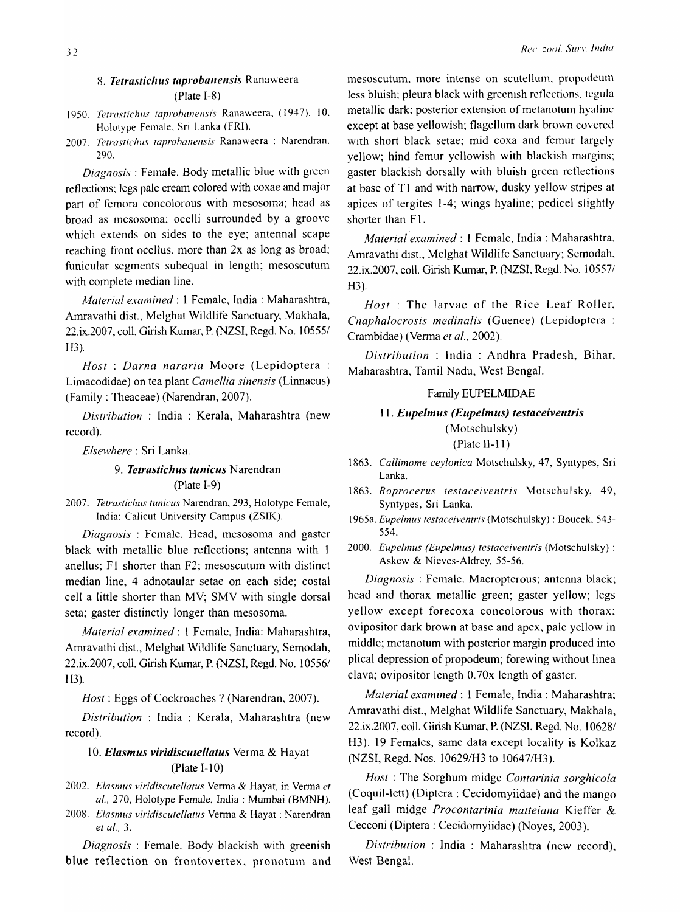# 8. **Tetrastichus taprobanensis** Ranaweera (Plate 1-8)

- 1950. *Tetrastichus taprobanensis Ranaweera, (1947)*, 10. Holotype Female, Sri Lanka (FRI).
- 2007. Tetrastichus taprohanensis Ranaweera : Narendran. 290.

*Diagnosis:* Female. Body metallic blue with green reflections; legs pale cream colored with coxae and major part of femora concolorous with mesosoma; head as broad as mesosoma; ocelli surrounded by a groove which extends on sides to the eye; antennal scape reaching front ocellus, more than 2x as long as broad; funicular segments subequal in length; mesoscutum with complete median line.

*Material examined:* 1 Female, India: Maharashtra, Amravathi dist., Melghat Wildlife Sanctuary, Makhala, 22.ix.2007, colI. Girish Kumar, P. (NZSI, Regd. No. 105551 H3).

*Host* : *Darna nararia* Moore (Lepidoptera : Limacodidae) on tea plant *Camellia sinensis* (Linnaeus) (Family: Theaceae) (Narendran, 2007).

*Distribution* : India : Kerala, Maharashtra (new record).

*Elselvhere:* Sri Lanka.

# *9. Tetrastichus tunicus* Narendran (Plate 1-9)

*2007. Tetrastichus tunicus* Narendran, 293, Holotype Female, India: Calicut University Campus (ZSIK).

*Diagnosis* : Female. Head, mesosoma and gaster black with metallic blue reflections; antenna with 1 anellus; F1 shorter than F2; mesoscutum with distinct median line, 4 adnotaular setae on each side; costal cell a little shorter than MV; SMV with single dorsal seta; gaster distinctly longer than mesosoma.

*Material examined:* 1 Female, India: Maharashtra, Amravathi dist., Melghat Wildlife Sanctuary, Semodah, 22.ix.2007, coll. Girish Kumar, P. (NZSI, Regd. No. 10556/ H3).

*Host:* Eggs of Cockroaches? (Narendran, 2007).

*Distribution* : India : Kerala, Maharashtra (new record).

# 10. *Elasmus viridiscutellatus* Verma & Hayat (Plate 1-10)

- *2002. Elasmus viridiscutellatus* Verma & Hayat, in Verma *et al.,* 270, Holotype Female, India: Mumbai (BMNH).
- 2008. Elasmus viridiscutellatus Verma & Hayat : Narendran *et aI., 3.*

*Diagnosis* : Female. Body blackish with greenish blue reflection on frontovertex, pronotum and mesoscutum, more intense on scutellum, propodcum less bluish; pleura black with greenish reflections, tegula metallic dark; posterior extension of metanotum hyaline except at base yellowish; flagellum dark brown covered with short black setae; mid coxa and femur largely yellow; hind femur yellowish with blackish margins; gaster blackish dorsally with bluish green reflections at base of T1 and with narrow, dusky yellow stripes at apices of tergites 1-4; wings hyaline; pedicel slightly shorter than F1.

*Materiat'examined:* 1 Female, India: Maharashtra, Amravathi dist., Melghat Wildlife Sanctuary; Semodah, 22.ix.2007, coll. Girish Kumar, P. (NZSI, Regd. No. 105571 H3).

*Host:* The larvae of the Rice Leaf Roller, *Cnaphalocrosis medinalis* (Guenee) (Lepidoptera: Crambidae) (Verma *et at.,* 2002).

*Distribution* : India : Andhra Pradesh, Bihar, Maharashtra, Tamil Nadu, West Bengal.

#### Family EUPELMIDAE

# 11. *Eupelmus (Eupelmus) testaceiventris*  (Motschulsky) (Plate II-II)

*1863. Callimome ceylonica* Motschulsky, 47, Syntypes, Sri Lanka.

- *1863. Roprocerus testaceiventris* Motschulsky, 49, Syntypes, Sri Lanka.
- 1965a. *Eupe/mus testaceiventris* (Motschulsky) : Boucck, 543- 554.
- *2000. Eupelmus (Eupelmus) testaceiventris* (Motschulsky) : Askew & Nieves-Aldrey, 55-56.

*Diagnosis:* Female. Macropterous; antenna black; head and thorax metallic green; gaster yellow; legs yellow except forecoxa concolorous with thorax; ovipositor dark brown at base and apex, pale yellow in middle; metanotum with posterior margin produced into plical depression of propodeum; forewing without linea clava; ovipositor length 0.70x length of gaster.

*Material examined:* 1 Female, India: Maharashtra; Amravathi dist., Melghat Wildlife Sanctuary, Makhala, 22.ix.2007, colI. Girish Kumar, P. (NZSI, Regd. No.1 06281 H3). 19 Females, same data except locality is Kolkaz (NZSI, Regd. Nos. 10629/H3 to 10647/H3).

*Host:* The Sorghum midge *Contarinia sorghicola*  (Coquil-Iett) (Diptera : Cecidomyiidae) and the mango leaf gall midge *Procontarinia matteiana* Kieffer & Cecconi (Diptera : Cecidomyiidae) (Noyes, 2003).

*Distribution* : India : Maharashtra (new record), West Bengal.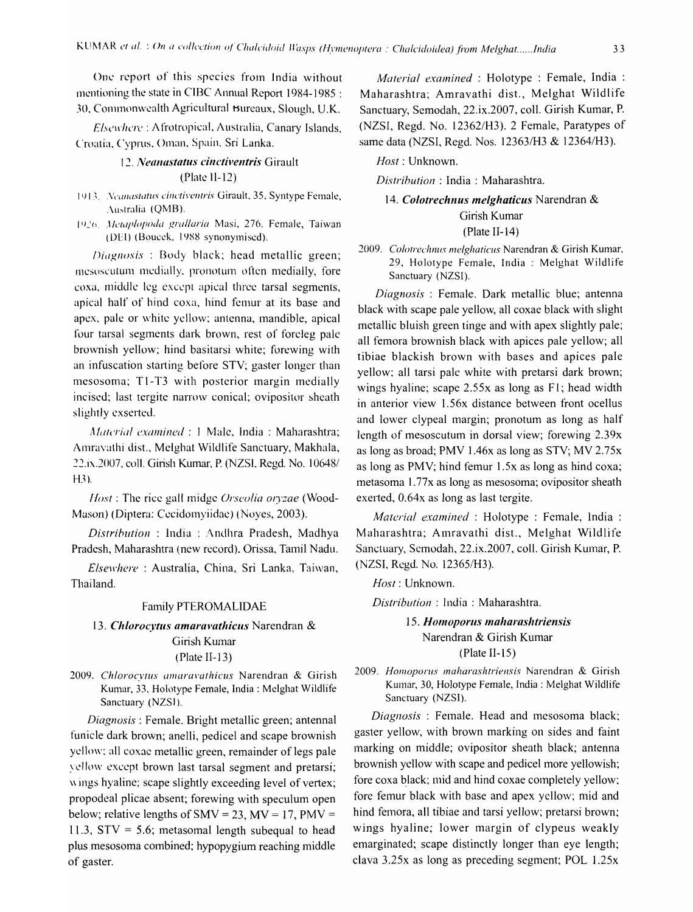One report of this species from India without mentioning the state in CIBC Annual Report 1984-1985 : 30, Commonwealth Agricultural Bureaux, Slough, U.K.

Elsewhere: Afrotropical, Australia, Canary Islands. Croatia, Cyprus, Oman, Spain, Sri Lanka.

### 12. Neanastatus cinctiventris Girault  $(Place II-12)$

- 1913. Neanastatus cinctiventris Girault, 35, Syntype Female, Australia (QMB).
- 1926. Metaplopoda grallaria Masi, 276. Female, Taiwan (DEI) (Boucek, 1988 synonymised).

Diagnosis: Body black; head metallic green; mesoscutum medially, pronotum often medially, fore coxa, middle leg except apical three tarsal segments, apical half of hind coxa, hind femur at its base and apex, pale or white yellow; antenna, mandible, apical four tarsal segments dark brown, rest of foreleg pale brownish yellow; hind basitarsi white; forewing with an infuscation starting before STV; gaster longer than mesosoma; T1-T3 with posterior margin medially incised; last tergite narrow conical; ovipositor sheath slightly exserted.

Material examined : 1 Male, India : Maharashtra; Amravathi dist., Melghat Wildlife Sanctuary, Makhala, 22.ix.2007, coll. Girish Kumar, P. (NZSI, Regd. No. 10648/  $H3$ ).

*Host*: The rice gall midge *Orseolia oryzae* (Wood-Mason) (Diptera: Cecidomyiidae) (Noyes, 2003).

Distribution: India: Andhra Pradesh, Madhya Pradesh, Maharashtra (new record). Orissa, Tamil Nadu.

Elsewhere: Australia, China, Sri Lanka, Taiwan, Thailand.

#### Family PTEROMALIDAE

# 13. Chlorocytus amaravathicus Narendran & Girish Kumar

#### (Plate II-13)

2009. Chlorocytus amaravathicus Narendran & Girish Kumar, 33, Holotype Female, India: Melghat Wildlife Sanctuary (NZSI).

Diagnosis : Female. Bright metallic green; antennal funicle dark brown; anelli, pedicel and scape brownish yellow; all coxac metallic green, remainder of legs pale vellow except brown last tarsal segment and pretarsi; wings hyaline; scape slightly exceeding level of vertex; propodeal plicae absent; forewing with speculum open below; relative lengths of SMV = 23, MV = 17, PMV = 11.3,  $STV = 5.6$ ; metasomal length subequal to head plus mesosoma combined; hypopygium reaching middle of gaster.

Material examined : Holotype : Female, India : Maharashtra; Amravathi dist., Melghat Wildlife Sanctuary, Semodah, 22.ix.2007, coll. Girish Kumar, P. (NZSI, Regd. No. 12362/H3). 2 Female, Paratypes of same data (NZSI, Regd. Nos. 12363/H3 & 12364/H3).

Host: Unknown.

Distribution: India: Maharashtra.

### 14. Colotrechnus melghaticus Narendran & Girish Kumar  $(Place II-14)$

2009. Colotrechnus melghaticus Narendran & Girish Kumar, 29, Holotype Female, India : Melghat Wildlife Sanctuary (NZSI).

Diagnosis: Female. Dark metallic blue; antenna black with scape pale yellow, all coxae black with slight metallic bluish green tinge and with apex slightly pale; all femora brownish black with apices pale yellow; all tibiae blackish brown with bases and apices pale yellow; all tarsi pale white with pretarsi dark brown; wings hyaline; scape 2.55x as long as F1; head width in anterior view 1.56x distance between front ocellus and lower clypeal margin; pronotum as long as half length of mesoscutum in dorsal view; forewing 2.39x as long as broad; PMV 1.46x as long as STV; MV 2.75x as long as PMV; hind femur 1.5x as long as hind coxa; metasoma 1.77x as long as mesosoma; ovipositor sheath exerted, 0.64x as long as last tergite.

Material examined : Holotype : Female, India : Maharashtra; Amravathi dist., Melghat Wildlife Sanctuary, Semodah, 22.ix.2007, coll. Girish Kumar, P. (NZSI, Regd. No. 12365/H3).

Host: Unknown.

Distribution: India: Maharashtra.

# 15. Homoporus maharashtriensis Narendran & Girish Kumar  $(Place II-15)$

2009. Homoporus maharashtriensis Narendran & Girish Kumar, 30, Holotype Female, India: Melghat Wildlife Sanctuary (NZSI).

Diagnosis: Female. Head and mesosoma black; gaster yellow, with brown marking on sides and faint marking on middle; ovipositor sheath black; antenna brownish yellow with scape and pedicel more yellowish; fore coxa black; mid and hind coxae completely yellow; fore femur black with base and apex yellow; mid and hind femora, all tibiae and tarsi yellow; pretarsi brown; wings hyaline; lower margin of clypeus weakly emarginated; scape distinctly longer than eye length; clava  $3.25x$  as long as preceding segment; POL 1.25 $x$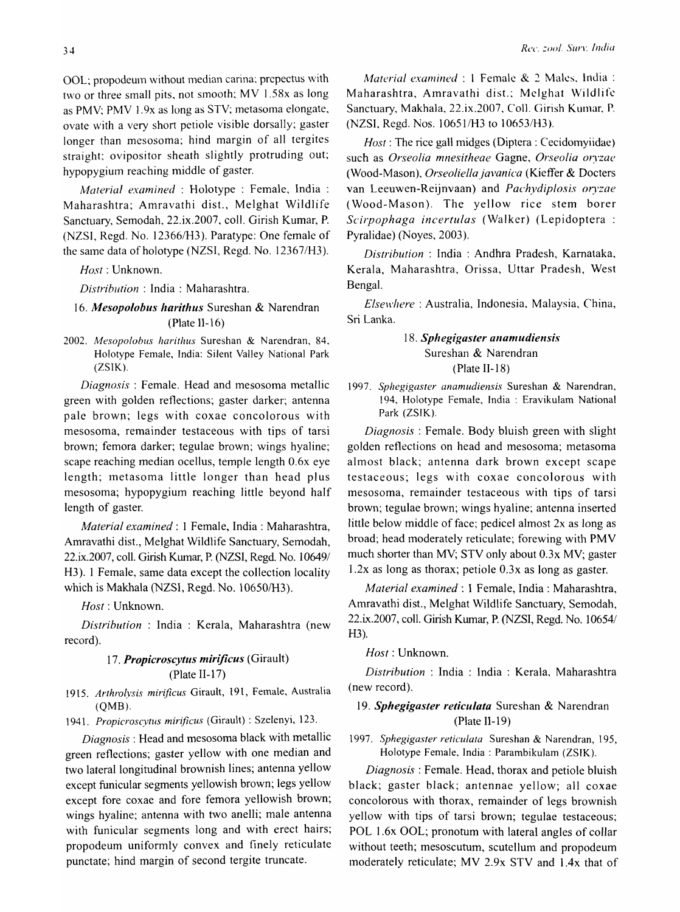OOL: propodeum without median carina; prepectus with two or three small pits. not smooth; MY 1.58x as long as PMY; PMY 1.9x as long as STY; metasoma elongate, ovate with a very short petiole visible dorsally; gaster longer than mesosoma; hind margin of all tergites straight; ovipositor sheath slightly protruding out; hypopygium reaching middle of gaster.

*Material examined* : Holotype : Female, India : Maharashtra; Amravathi dist., Melghat Wildlife Sanctuary, Semodah, 22.ix.2007, colI. Girish Kumar, P. (NZSI, Regd. No. *12366/H3).* Paratype: One female of the same data of holotype (NZSI, Regd. No. 12367/H3).

*Host:* Unknown.

*Distribution:* India: Maharashtra.

# *16. Mesopolobus harithus* Sureshan & Narendran (Plate II-16)

*2002. MesopolobliS harithus* Sureshan & Narendran, 84, Holotype Female, India: Silent Valley National Park (ZSIK).

*Diagnosis:* Female. Head and mesosoma metallic green with golden reflections; gaster darker; antenna pale brown; legs with coxae concolorous with mesosoma, remainder testaceous with tips of tarsi brown; femora darker; tegulae brown; wings hyaline; scape reaching median ocellus, temple length 0.6x eye length; metasoma little longer than head plus mesosoma; hypopygium reaching little beyond half length of gaster.

*Material examined:* 1 Female, India: Maharashtra, Amravathi dist., Melghat Wildlife Sanctuary, Semodah, 22.ix.2007, coll. Girish Kumar, P. (NZSI, Regd. No. 10649/ H3). 1 Female, same data except the collection locality which is Makhala (NZSI, Regd. No.1 0650/H3).

*Host:* Unknown.

*Distribution* : India : Kerala, Maharashtra (new record).

### *17. Propicroscytus mirificus* (Girault)  $(Place II-17)$

*1915. Arthrol.vsis mirificus* Girault, 191, Female, Australia (QMB).

*1941. Propicroscytus mirificus* (Girault) : Szelenyi, 123.

*Diagnosis:* Head and meso soma black with metallic green reflections; gaster yellow with one median and two lateral longitudinal brownish lines; antenna yellow except funicular segments yellowish brown; legs yellow except fore coxae and fore femora yellowish brown; wings hyaline; antenna with two anelli; male antenna with funicular segments long and with erect hairs; propodeum uniformly convex and finely reticulate punctate; hind margin of second tergite truncate.

*A1aterial examined:* 1 Female & 2 Males. India: Maharashtra, Amravathi dist.; Melghat Wildlife Sanctuary, Makhala. 22.ix.2007. ColI. Girish Kumar. P. (NZSI, Regd. Nos. 1 0651!H3 to 1 *0653/H3).* 

*Host*: The rice gall midges (Diptera : Cecidomyiidae) such as *Orseolia mnesitheae* Gagne, *Orseolia or)'zae*  (Wood-Mason), *Orseoliellajavanica* (Kieffer & Docters van Leeuwen-Reijnvaan) and *Pachydiplosis or)'zae*  (Wood-Mason). The yellow rice stem borer *Scirpophaga incertulas* (Walker) (Lepidoptera : Pyralidae) (Noyes, 2003).

*Distribution* : India : Andhra Pradesh, Kamataka, Kerala, Maharashtra, Orissa, Uttar Pradesh, West Bengal.

*Elsewhere:* Australia, Indonesia. Malaysia, China, Sri Lanka.

### 18. Sphegigaster anamudiensis Sureshan & Narendran (Plate 11-18)

*1997. Sphegigaster anamudiensis* Sureshan & Narendran, 194, Holotype Female, India: Eravikulam National Park (ZSIK).

*Diagnosis:* Female. Body bluish green with slight golden reflections on head and mesosoma; metasoma almost black; antenna dark brown except scape testaceous; legs with coxae concolorous with mesosoma, remainder testaceous with tips of tarsi brown; tegulae brown; wings hyaline; antenna inserted little below middle of face; pedicel almost 2x as long as broad; head moderately reticulate; forewing with PMY much shorter than MV; STY only about 0.3x MY; gaster 1.2x as long as thorax; petiole 0.3x as long as gaster.

*Material examined:* 1 Female, India: Maharashtra, Amravathi dist., Melghat Wildlife Sanctuary, Semodah, 22.ix.2007, coll. Girish Kumar, P. (NZSI, Regd. No. 10654/  $H3$ ).

*Host:* Unknown.

*Distribution* : India : India : Kerala, Maharashtra (new record).

### *19. Sphegigaster reticulata* Sureshan & Narendran (Plate II-19)

*1997. Sphegigaster reticulata* Sureshan & Narendran, 195, Holotype Female, India: Parambikulam (ZSIK).

*Diagnosis:* Female. Head, thorax and petiole bluish black; gaster black; antennae yellow; all coxae concolorous with thorax, remainder of legs brownish yellow with tips of tarsi brown; tegulae testaceous; POL 1.6x OOL; pronotum with lateral angles of collar without teeth; mesoscutum, scutellum and propodeum moderately reticulate; MV 2.9x STV and 1.4x that of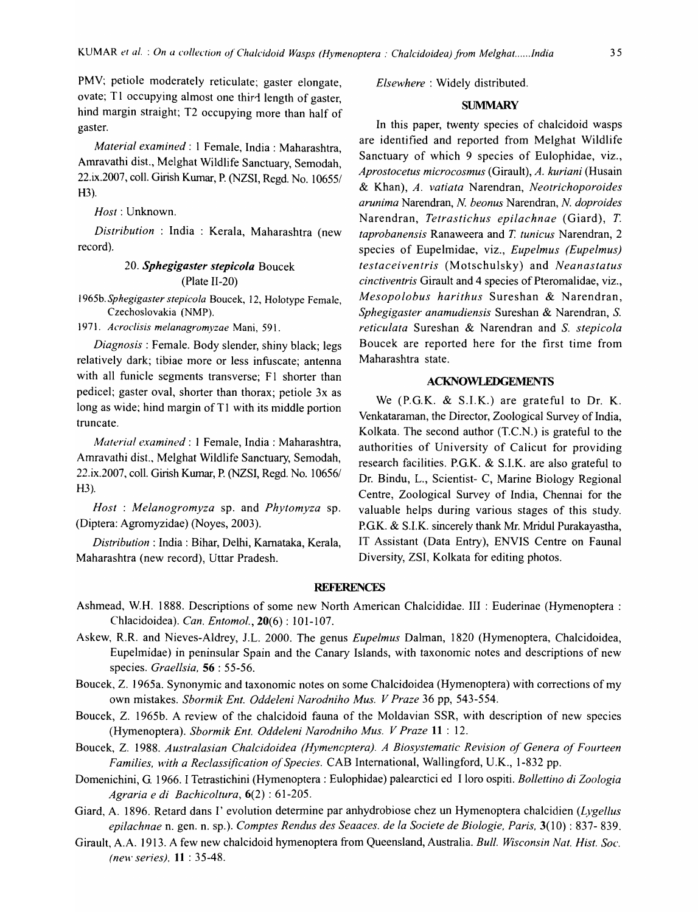PMV; petiole moderately reticulate; gaster elongate, ovate; T1 occupying almost one third length of gaster, hind margin straight; T2 occupying more than half of gaster.

*Material examined:* 1 Female, India: Maharashtra, Amravathi dist., Melghat Wildlife Sanctuary, Semodah, 22.ix.2007, coll. Girish Kumar, P. (NZSI, Regd. No. 10655/ H3).

*Host:* Unknown.

*Distribution* : India : Kerala, Maharashtra (new record).

### *20. Sphegigaster stepicola* Boucek (Plate II-20)

1965b. *Sphegigaster stepicola* Soucek, 12, Holotype Female, Czechoslovakia (NMP).

*1971. Acroclisis melanagromyzae* Mani, 591.

*Diagnosis:* Female. Body slender, shiny black; legs relatively dark; tibiae more or less infuscate; antenna with all funicle segments transverse; F1 shorter than pedicel; gaster oval, shorter than thorax; petiole 3x as long as wide; hind margin of T1 with its middle portion truncate.

*Material examined:* 1 Female, India: Maharashtra, Amravathi dist., Melghat Wildlife Sanctuary, Semodah, 22.ix.2007, coll. Girish Kumar, P. (NZSI, Regd. No. 10656/  $H3$ ).

*Host* : *Melanogromyza* sp. and *Phytomyza* sp. (Diptera: Agromyzidae) (Noyes, 2003).

*Distribution:* India: Bihar, Delhi, Kamataka, Kerala, Maharashtra (new record), Uttar Pradesh.

*Elsewhere* : Widely distributed.

#### **SUMMARY**

In this paper, twenty species of chalcidoid wasps are identified and reported from Melghat Wildlife Sanctuary of which 9 species of Eulophidae, viz., *Aprostocetus microcosmus* (Girault), *A. kuriani* (Husain & Khan), *A. vatiata* Narendran, *Neotrichoporoides arunima* Narendran, *N beonus* Narendran, *N. doproides*  Narendran, *Tetrastichus epilachnae* (Giard), T. *taprobanensis* Ranaweera and *T. tunicus* Narendran, 2 species of Eupelmidae, viz., *Eupelmus (Eupelmus) testaceiventris* (Motschulsky) and *Neanastatus cinctiventris* Girault and 4 species of Pteromalidae, viz., *Mesopolobus harithus* Sureshan & Narendran, *Sphegigaster anamudiensis* Sureshan & Narendran, S. *reticulata* Sureshan & Narendran and S. *stepicola*  Boucek are reported here for the first time from Maharashtra state.

### ACKNOWLEDGEMENTS

We (P.G.K. & S.I.K.) are grateful to Dr. K. Venkataraman, the Director, Zoological Survey of India, Kolkata. The second author (T.C.N.) is grateful to the authorities of University of Calicut for providing research facilities. P.G.K. & S.I.K. are also grateful to Dr. Bindu, L., Scientist- C, Marine Biology Regional Centre, Zoological Survey of India, Chennai for the valuable helps during various stages of this study. P.GK. & S.I.K. sincerely thank Mr. Mridul Purakayastha, IT Assistant (Data Entry), ENVIS Centre on Faunal Diversity, ZSI, Kolkata for editing photos.

### **REFERENCES**

- Ashmead, W.H. 1888. Descriptions of some new North American Chalcididae. III : Euderinae (Hymenoptera: Chlacidoidea). *Can. Entomol.,* 20(6) : 101-107.
- Askew, R.R. and Nieves-Aldrey, J.L. 2000. The genus *Eupelmus* Dalman, 1820 (Hymenoptera, Chalcidoidea, Eupelmidae) in peninsular Spain and the Canary Islands, with taxonomic notes and descriptions of new species. *Graellsia,* 56 : 55-56.
- Boucek, Z. 1965a. Synonymic and taxonomic notes on some Chalcidoidea (Hymenoptera) with corrections of my own mistakes. *Sbormik Ent. Oddeleni Narodniho Mus. V Praze* 36 pp, 543-554.
- Boucek, Z. 1965b. A review of the chalcidoid fauna of the Moldavian SSR, with description of new species (Hymenoptera). *Sbormik Ent. Oddeleni Narodniho Mus. V Praze* **11** : 12.
- Boucek, Z. 1988. *Australasian Chalcidoidea (Hymencptera). A Biosystematic Revision of Genera of Fourteen Families, with a Reclassification of Species.* CAB International, Wallingford, U.K., 1-832 pp.
- Domenichini, G. 1966. I Tetrastichini (Hymenoptera: Eulophidae) palearctici ed I loro ospiti. *Bollettino di Zoologia Agraria e di Bachicoltura,* 6(2) : 61-205.
- Giard, A. 1896. Retard dans I' evolution determine par anhydrobiose chez un Hymenoptera chalcidien *(Lygellus epilachnae* n. gen. n. sp.). *Comptes Rendus des Seaaces. de la Societe de Biologie, Paris,* 3(10) : 837- 839.
- Girault, A.A. 1913. A few new chalcidoid hymenoptera from Queensland, Australia. *Bull. Wisconsin Nat. Hist. Soc. (new series).* 11 : 35-48.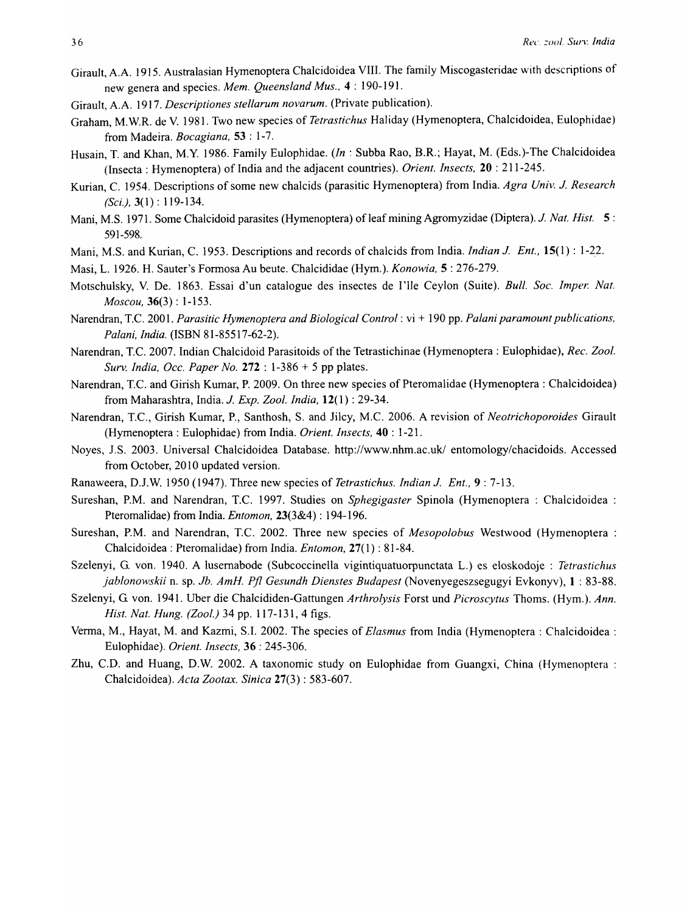- Girault, A.A. 1915. Australasian Hymenoptera Chalcidoidea VIII. The family Miscogasteridae with descriptions of new genera and species. *Mem. Queensland Mus.,* 4: 190-191.
- Girault, A.A. 1917. *Descriptiones stellarum novarum.* (Private publication).
- Graham, M. W.R. de V. 1981. Two new species of *Tetrastichus* Haliday (Hymenoptera, Chalcidoidea, Eulophidae) from Madeira. *Bocagiana,* 53 : 1-7.
- Husain, T. and Khan, M.Y. 1986. Family Eulophidae. *(In* : Subba Rao, B.R.; Hayat, M. (Eds.)-The Chalcidoidea (Insecta: Hymenoptera) of India and the adjacent countries). *Orient. Insects,* 20 : 211-245.
- Kurian, C. 1954. Descriptions of some new chalcids (parasitic Hymenoptera) from India. *Agra Univ.* J *Research (Sci.),* 3( 1) : 119-134.
- Mani, M.S. 1971. Some Chalcidoid parasites (Hymenoptera) of leaf mining Agromyzidae (Diptera). *J Nat. His!.* 5: 591-598.
- Mani, M.S. and Kurian, C. 1953. Descriptions and records of chalcids from India. *Indian J. Ent.*, **15**(1): 1-22.
- Masi, L. 1926. H. Sauter's Fonnosa Au beute. Chalcididae (Hym.). *Konowia,* 5 : 276-279.
- Motschulsky, V. De. 1863. Essai d'un catalogue des insectes de l'Ile Ceylon (Suite). *Bull. Soc. Imper. Nat. Moscou,* 36(3) : 1-153.
- Narendran, T.C. 2001. *Parasitic Hymenoptera and Biological Control:* vi + 190 pp. *Palani paramount publications, Palani, India.* (ISBN 81-85517-62-2).
- Narendran, T.C. 2007. Indian Chalcidoid Parasitoids of the Tetrastichinae (Hymenoptera: Eulophidae), *Rec. Zool. Surv. India, Occ. Paper No.* 272 : 1-386 + 5 pp plates.
- Narendran, T.C. and Girish Kumar, P. 2009. On three new species of Pteromalidae (Hymenoptera: Chalcidoidea) from Maharashtra, India. *J. Exp. Zool. India*, **12**(1): 29-34.
- Narendran, T.C., Girish Kumar, P., Santhosh, S. and liley, M.C. 2006. A revision of *Neotrichoporoides* Girault (Hymenoptera: Eulophidae) from India. *Orient. Insects,* 40 : 1-21.
- Noyes, J.S. 2003. Universal Chalcidoidea Database. http://www.nhm.ac.uk/ entomology/chacidoids. Accessed from October, 2010 updated version.
- Ranaweera,DJ.W.1950(1947). Three new species of *Tetrastichus. IndianJ. Ent.,* 9: 7-13.
- Sureshan, P.M. and Narendran, T.C. 1997. Studies on *Sphegigaster* Spinola (Hymenoptera : Chalcidoidea : Pteromalidae) from India. *Entomon,* 23(3&4) : 194-196.
- Sureshan, P.M. and Narendran, T.C. 2002. Three new species of *Mesopolobus* Westwood (Hymenoptera : Chalcidoidea : Pteromalidae) from India. *Entomon,* 27(1) : 81-84.
- Szelenyi, G. von. 1940. A lusemabode (Subcoccinella vigintiquatuorpunctata L.) es eloskodoje : *Tetrastichus jablonowskii* n. sp. *Jb. AmH. Pfl Gesundh Dienstes Budapest* (Novenyegeszsegugyi Evkonyv), 1 : 83-88.
- Szelenyi, G von. 1941. Uber die Chalcididen-Gattungen *Arthrolysis* Forst und *Picroscytus* Thoms. (Hym.). *Ann. Hist. Nat. Hung. (Zool.)* 34 pp. 117-131, 4 figs.
- Venna, M., Hayat, M. and Kazmi, S.1. 2002. The species of *Elasmus* from India (Hymenoptera: Chalcidoidea : Eulophidae). *Orient. Insects,* 36 : 245-306.
- Zhu, C.D. and Huang, D.W. 2002. A taxonomic study on Eulophidae from Guangxi, China (Hymenoptera : Chalcidoidea). *Acta Zootax. Sinica* 27(3) : 583-607.